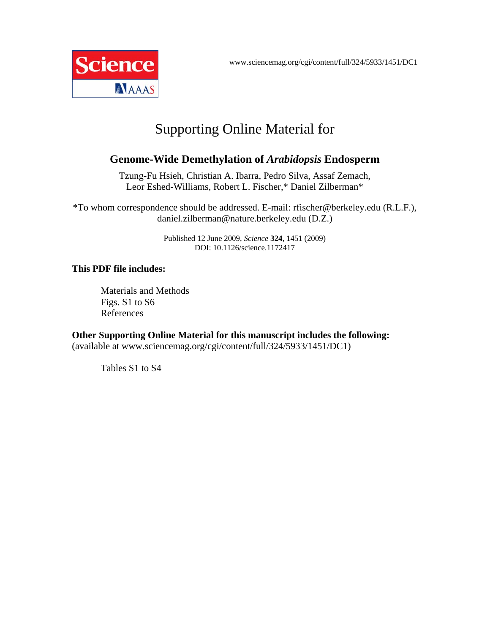

# Supporting Online Material for

# **Genome-Wide Demethylation of** *Arabidopsis* **Endosperm**

Tzung-Fu Hsieh, Christian A. Ibarra, Pedro Silva, Assaf Zemach, Leor Eshed-Williams, Robert L. Fischer,\* Daniel Zilberman\*

\*To whom correspondence should be addressed. E-mail: rfischer@berkeley.edu (R.L.F.), daniel.zilberman@nature.berkeley.edu (D.Z.)

> Published 12 June 2009, *Science* **324**, 1451 (2009) DOI: 10.1126/science.1172417

## **This PDF file includes:**

Materials and Methods Figs. S1 to S6 References

**Other Supporting Online Material for this manuscript includes the following:**  (available at www.sciencemag.org/cgi/content/full/324/5933/1451/DC1)

Tables S1 to S4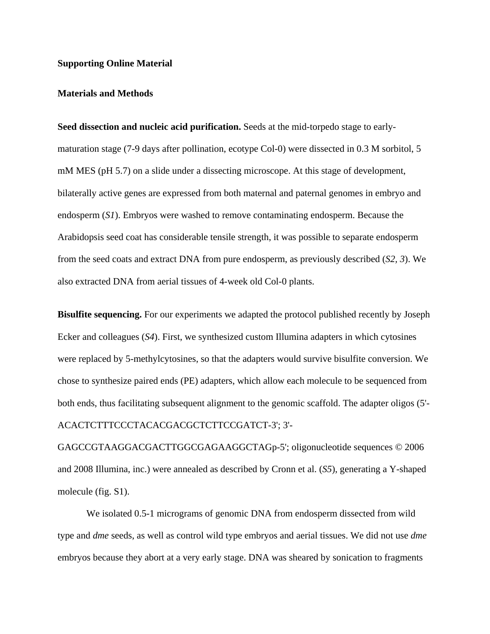#### **Supporting Online Material**

#### **Materials and Methods**

**Seed dissection and nucleic acid purification.** Seeds at the mid-torpedo stage to earlymaturation stage (7-9 days after pollination, ecotype Col-0) were dissected in 0.3 M sorbitol, 5 mM MES (pH 5.7) on a slide under a dissecting microscope. At this stage of development, bilaterally active genes are expressed from both maternal and paternal genomes in embryo and endosperm (*S1*). Embryos were washed to remove contaminating endosperm. Because the Arabidopsis seed coat has considerable tensile strength, it was possible to separate endosperm from the seed coats and extract DNA from pure endosperm, as previously described (*S2, 3*). We also extracted DNA from aerial tissues of 4-week old Col-0 plants.

**Bisulfite sequencing.** For our experiments we adapted the protocol published recently by Joseph Ecker and colleagues (*S4*). First, we synthesized custom Illumina adapters in which cytosines were replaced by 5-methylcytosines, so that the adapters would survive bisulfite conversion. We chose to synthesize paired ends (PE) adapters, which allow each molecule to be sequenced from both ends, thus facilitating subsequent alignment to the genomic scaffold. The adapter oligos (5'- ACACTCTTTCCCTACACGACGCTCTTCCGATCT-3'; 3'-

GAGCCGTAAGGACGACTTGGCGAGAAGGCTAGp-5'; oligonucleotide sequences © 2006 and 2008 Illumina, inc.) were annealed as described by Cronn et al. (*S5*), generating a Y-shaped molecule (fig. S1).

 We isolated 0.5-1 micrograms of genomic DNA from endosperm dissected from wild type and *dme* seeds, as well as control wild type embryos and aerial tissues. We did not use *dme*  embryos because they abort at a very early stage. DNA was sheared by sonication to fragments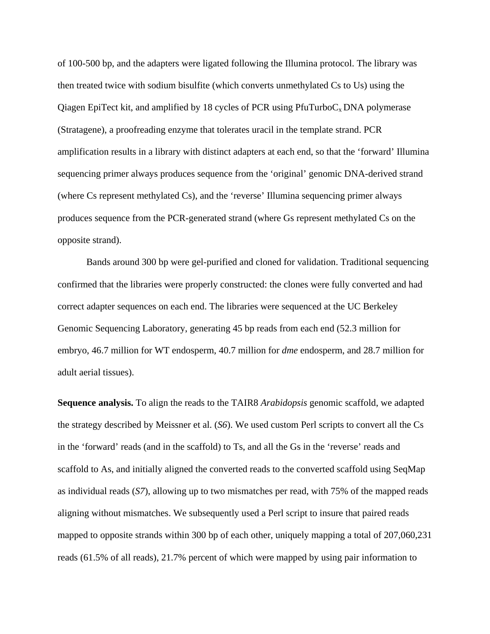of 100-500 bp, and the adapters were ligated following the Illumina protocol. The library was then treated twice with sodium bisulfite (which converts unmethylated Cs to Us) using the Qiagen EpiTect kit, and amplified by 18 cycles of PCR using  $PfurTurboC<sub>x</sub> DNA polymerase$ (Stratagene), a proofreading enzyme that tolerates uracil in the template strand. PCR amplification results in a library with distinct adapters at each end, so that the 'forward' Illumina sequencing primer always produces sequence from the 'original' genomic DNA-derived strand (where Cs represent methylated Cs), and the 'reverse' Illumina sequencing primer always produces sequence from the PCR-generated strand (where Gs represent methylated Cs on the opposite strand).

 Bands around 300 bp were gel-purified and cloned for validation. Traditional sequencing confirmed that the libraries were properly constructed: the clones were fully converted and had correct adapter sequences on each end. The libraries were sequenced at the UC Berkeley Genomic Sequencing Laboratory, generating 45 bp reads from each end (52.3 million for embryo, 46.7 million for WT endosperm, 40.7 million for *dme* endosperm, and 28.7 million for adult aerial tissues).

**Sequence analysis.** To align the reads to the TAIR8 *Arabidopsis* genomic scaffold, we adapted the strategy described by Meissner et al. (*S6*). We used custom Perl scripts to convert all the Cs in the 'forward' reads (and in the scaffold) to Ts, and all the Gs in the 'reverse' reads and scaffold to As, and initially aligned the converted reads to the converted scaffold using SeqMap as individual reads (*S7*), allowing up to two mismatches per read, with 75% of the mapped reads aligning without mismatches. We subsequently used a Perl script to insure that paired reads mapped to opposite strands within 300 bp of each other, uniquely mapping a total of 207,060,231 reads (61.5% of all reads), 21.7% percent of which were mapped by using pair information to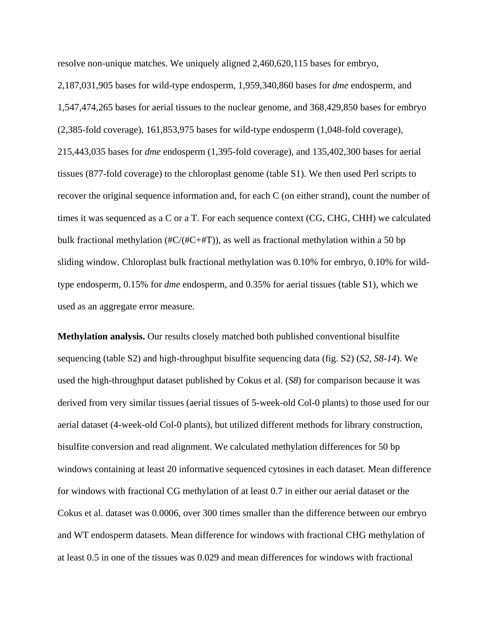resolve non-unique matches. We uniquely aligned 2,460,620,115 bases for embryo, 2,187,031,905 bases for wild-type endosperm, 1,959,340,860 bases for *dme* endosperm, and 1,547,474,265 bases for aerial tissues to the nuclear genome, and 368,429,850 bases for embryo (2,385-fold coverage), 161,853,975 bases for wild-type endosperm (1,048-fold coverage), 215,443,035 bases for *dme* endosperm (1,395-fold coverage), and 135,402,300 bases for aerial tissues (877-fold coverage) to the chloroplast genome (table S1). We then used Perl scripts to recover the original sequence information and, for each C (on either strand), count the number of times it was sequenced as a C or a T. For each sequence context (CG, CHG, CHH) we calculated bulk fractional methylation ( $\#C/(\#C+\#T)$ ), as well as fractional methylation within a 50 bp sliding window. Chloroplast bulk fractional methylation was 0.10% for embryo, 0.10% for wildtype endosperm, 0.15% for *dme* endosperm, and 0.35% for aerial tissues (table S1), which we used as an aggregate error measure.

**Methylation analysis.** Our results closely matched both published conventional bisulfite sequencing (table S2) and high-throughput bisulfite sequencing data (fig. S2) (*S2, S8-14*). We used the high-throughput dataset published by Cokus et al. (*S8*) for comparison because it was derived from very similar tissues (aerial tissues of 5-week-old Col-0 plants) to those used for our aerial dataset (4-week-old Col-0 plants), but utilized different methods for library construction, bisulfite conversion and read alignment. We calculated methylation differences for 50 bp windows containing at least 20 informative sequenced cytosines in each dataset. Mean difference for windows with fractional CG methylation of at least 0.7 in either our aerial dataset or the Cokus et al. dataset was 0.0006, over 300 times smaller than the difference between our embryo and WT endosperm datasets. Mean difference for windows with fractional CHG methylation of at least 0.5 in one of the tissues was 0.029 and mean differences for windows with fractional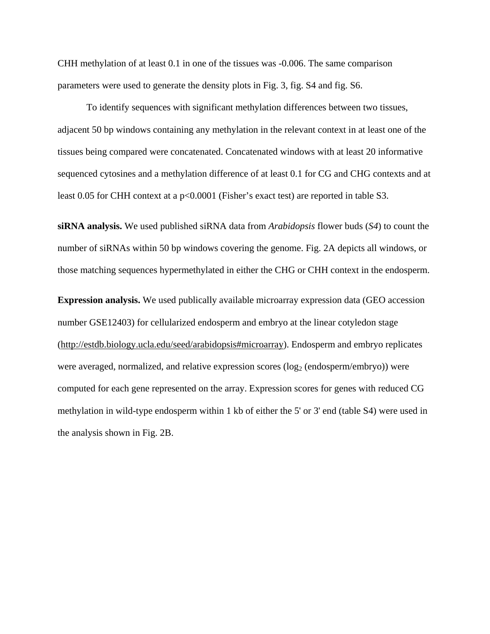CHH methylation of at least 0.1 in one of the tissues was -0.006. The same comparison parameters were used to generate the density plots in Fig. 3, fig. S4 and fig. S6.

 To identify sequences with significant methylation differences between two tissues, adjacent 50 bp windows containing any methylation in the relevant context in at least one of the tissues being compared were concatenated. Concatenated windows with at least 20 informative sequenced cytosines and a methylation difference of at least 0.1 for CG and CHG contexts and at least 0.05 for CHH context at a p<0.0001 (Fisher's exact test) are reported in table S3.

**siRNA analysis.** We used published siRNA data from *Arabidopsis* flower buds (*S4*) to count the number of siRNAs within 50 bp windows covering the genome. Fig. 2A depicts all windows, or those matching sequences hypermethylated in either the CHG or CHH context in the endosperm.

**Expression analysis.** We used publically available microarray expression data (GEO accession number GSE12403) for cellularized endosperm and embryo at the linear cotyledon stage (http://estdb.biology.ucla.edu/seed/arabidopsis#microarray). Endosperm and embryo replicates were averaged, normalized, and relative expression scores ( $log<sub>2</sub>$  (endosperm/embryo)) were computed for each gene represented on the array. Expression scores for genes with reduced CG methylation in wild-type endosperm within 1 kb of either the 5' or 3' end (table S4) were used in the analysis shown in Fig. 2B.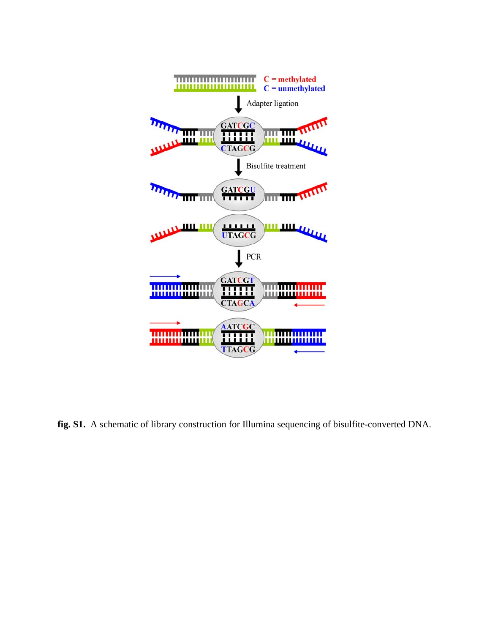

**fig. S1.** A schematic of library construction for Illumina sequencing of bisulfite-converted DNA.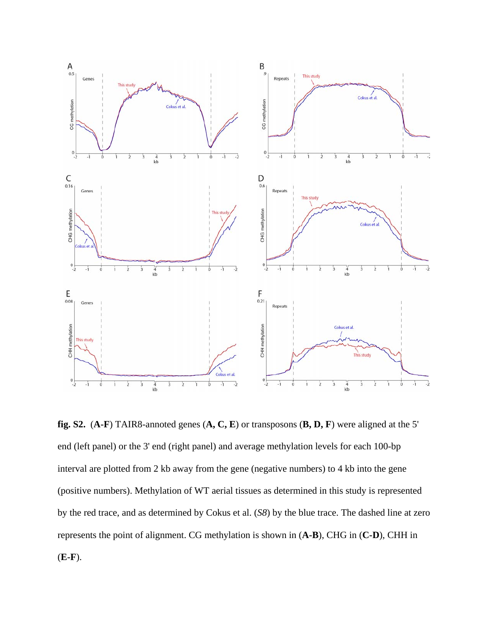

**fig. S2.** (**A-F**) TAIR8-annoted genes (**A, C, E**) or transposons (**B, D, F**) were aligned at the 5' end (left panel) or the 3' end (right panel) and average methylation levels for each 100-bp interval are plotted from 2 kb away from the gene (negative numbers) to 4 kb into the gene (positive numbers). Methylation of WT aerial tissues as determined in this study is represented by the red trace, and as determined by Cokus et al. (*S8*) by the blue trace. The dashed line at zero represents the point of alignment. CG methylation is shown in (**A-B**), CHG in (**C-D**), CHH in (**E-F**).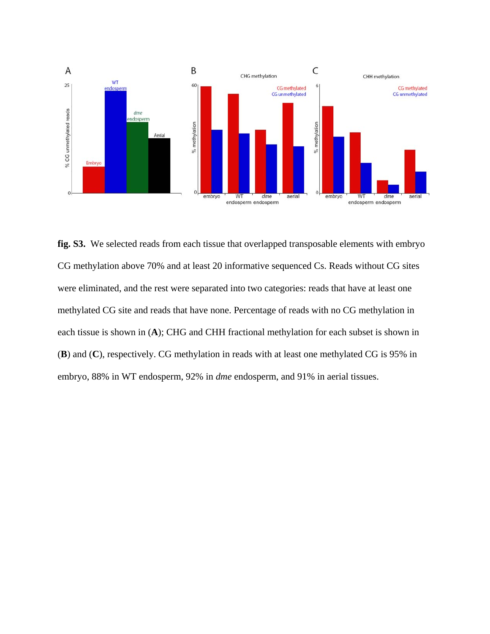

**fig. S3.** We selected reads from each tissue that overlapped transposable elements with embryo CG methylation above 70% and at least 20 informative sequenced Cs. Reads without CG sites were eliminated, and the rest were separated into two categories: reads that have at least one methylated CG site and reads that have none. Percentage of reads with no CG methylation in each tissue is shown in (**A**); CHG and CHH fractional methylation for each subset is shown in (**B**) and (**C**), respectively. CG methylation in reads with at least one methylated CG is 95% in embryo, 88% in WT endosperm, 92% in *dme* endosperm, and 91% in aerial tissues.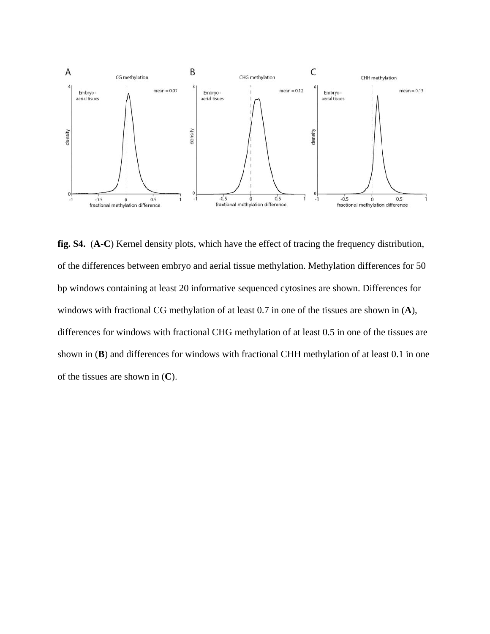

**fig. S4.** (**A-C**) Kernel density plots, which have the effect of tracing the frequency distribution, of the differences between embryo and aerial tissue methylation. Methylation differences for 50 bp windows containing at least 20 informative sequenced cytosines are shown. Differences for windows with fractional CG methylation of at least 0.7 in one of the tissues are shown in (**A**), differences for windows with fractional CHG methylation of at least 0.5 in one of the tissues are shown in (**B**) and differences for windows with fractional CHH methylation of at least 0.1 in one of the tissues are shown in (**C**).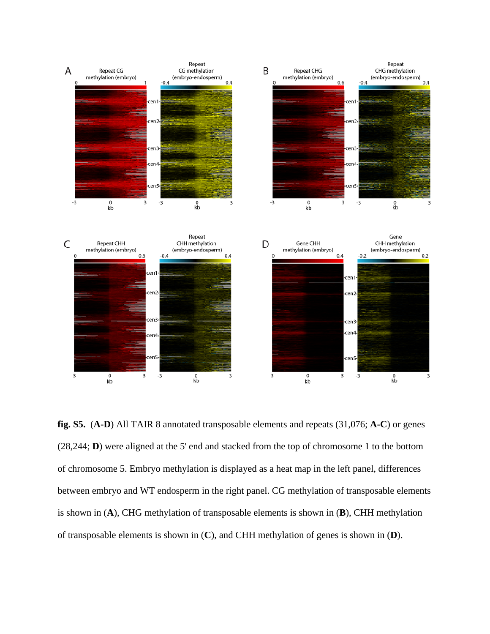

**fig. S5.** (**A-D**) All TAIR 8 annotated transposable elements and repeats (31,076; **A-C**) or genes (28,244; **D**) were aligned at the 5' end and stacked from the top of chromosome 1 to the bottom of chromosome 5. Embryo methylation is displayed as a heat map in the left panel, differences between embryo and WT endosperm in the right panel. CG methylation of transposable elements is shown in (**A**), CHG methylation of transposable elements is shown in (**B**), CHH methylation of transposable elements is shown in (**C**), and CHH methylation of genes is shown in (**D**).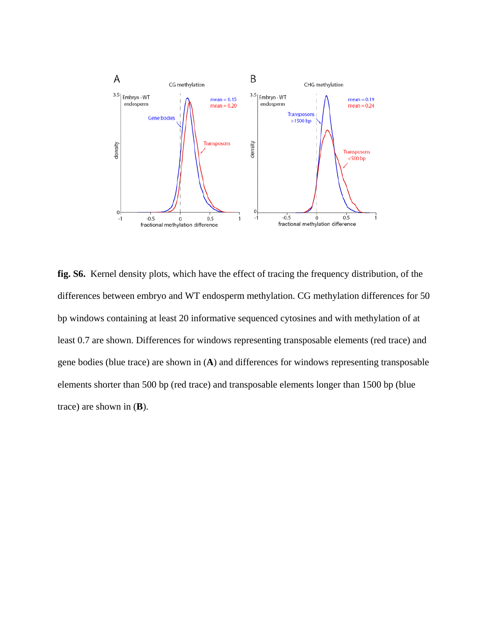

**fig. S6.** Kernel density plots, which have the effect of tracing the frequency distribution, of the differences between embryo and WT endosperm methylation. CG methylation differences for 50 bp windows containing at least 20 informative sequenced cytosines and with methylation of at least 0.7 are shown. Differences for windows representing transposable elements (red trace) and gene bodies (blue trace) are shown in (**A**) and differences for windows representing transposable elements shorter than 500 bp (red trace) and transposable elements longer than 1500 bp (blue trace) are shown in (**B**).